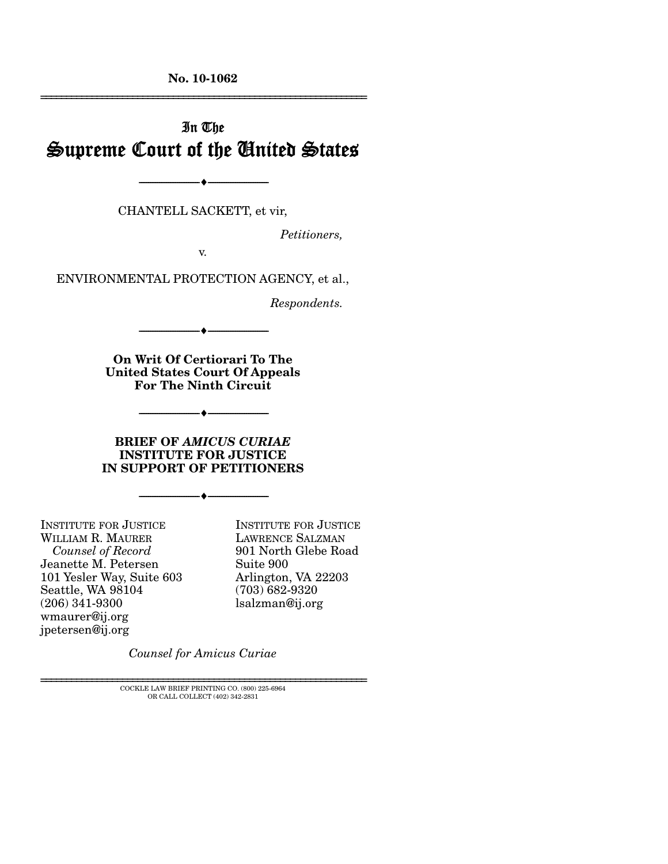**No. 10-1062**  ================================================================

# In The Supreme Court of the United States

CHANTELL SACKETT, et vir,

--------------------------------- ♦ ---------------------------------

*Petitioners,* 

v.

ENVIRONMENTAL PROTECTION AGENCY, et al.,

*Respondents.* 

**On Writ Of Certiorari To The United States Court Of Appeals For The Ninth Circuit** 

--------------------------------- ♦ ---------------------------------

--------------------------------- ♦ ---------------------------------

#### **BRIEF OF** *AMICUS CURIAE* **INSTITUTE FOR JUSTICE IN SUPPORT OF PETITIONERS**

--------------------------------- ♦ ---------------------------------

INSTITUTE FOR JUSTICE WILLIAM R. MAURER  *Counsel of Record*  Jeanette M. Petersen 101 Yesler Way, Suite 603 Seattle, WA 98104 (206) 341-9300 wmaurer@ij.org jpetersen@ij.org

INSTITUTE FOR JUSTICE LAWRENCE SALZMAN 901 North Glebe Road Suite 900 Arlington, VA 22203 (703) 682-9320 lsalzman@ij.org

*Counsel for Amicus Curiae* 

 $\rm COCKLE$  LAW BRIEF PRINTING CO.  $(800)$  225-6964 OR CALL COLLECT (402) 342-2831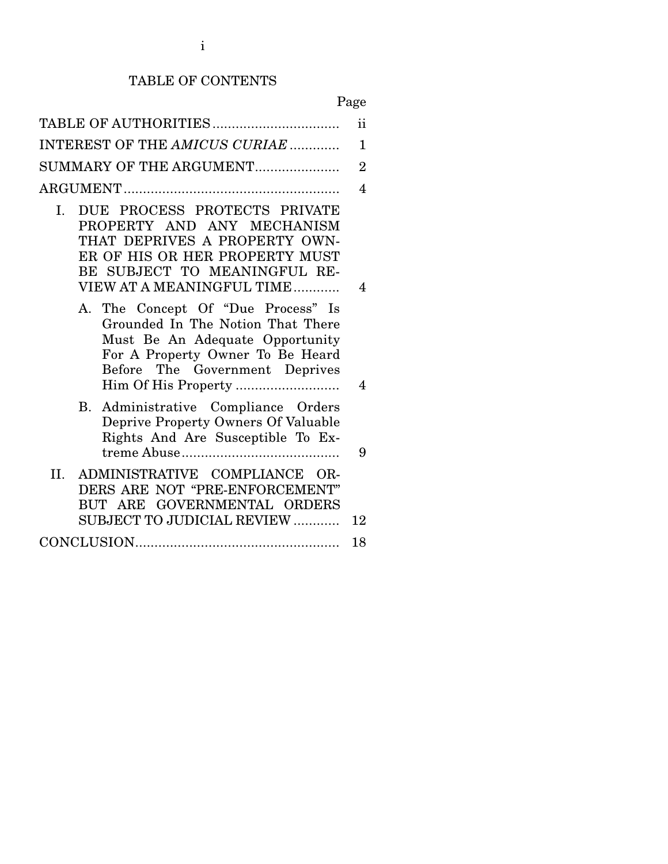## TABLE OF CONTENTS

Page

|                                                                                                                                                                                                  | $\mathbf{ii}$  |
|--------------------------------------------------------------------------------------------------------------------------------------------------------------------------------------------------|----------------|
| INTEREST OF THE AMICUS CURIAE                                                                                                                                                                    | $\mathbf{1}$   |
| SUMMARY OF THE ARGUMENT                                                                                                                                                                          | $\overline{2}$ |
|                                                                                                                                                                                                  | 4              |
| DUE PROCESS PROTECTS PRIVATE<br>I.<br>PROPERTY AND ANY MECHANISM<br>THAT DEPRIVES A PROPERTY OWN-<br>ER OF HIS OR HER PROPERTY MUST<br>BE SUBJECT TO MEANINGFUL RE-<br>VIEW AT A MEANINGFUL TIME | 4              |
| A. The Concept Of "Due Process" Is<br>Grounded In The Notion That There<br>Must Be An Adequate Opportunity<br>For A Property Owner To Be Heard<br>Before The Government Deprives                 | 4              |
| B. Administrative Compliance Orders<br>Deprive Property Owners Of Valuable<br>Rights And Are Susceptible To Ex-                                                                                  | 9              |
| ADMINISTRATIVE COMPLIANCE OR-<br>II.<br>DERS ARE NOT "PRE-ENFORCEMENT"<br>BUT ARE GOVERNMENTAL ORDERS<br>SUBJECT TO JUDICIAL REVIEW                                                              | 12             |
|                                                                                                                                                                                                  | 18             |
|                                                                                                                                                                                                  |                |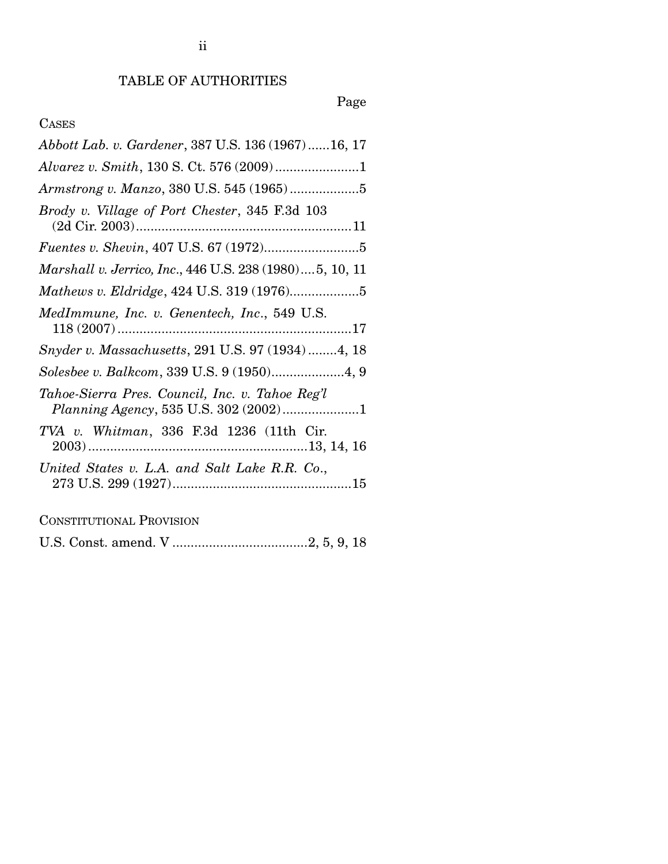# Page

### CASES

| Abbott Lab. v. Gardener, 387 U.S. 136 (1967) 16, 17                                      |
|------------------------------------------------------------------------------------------|
|                                                                                          |
|                                                                                          |
| Brody v. Village of Port Chester, 345 F.3d 103                                           |
|                                                                                          |
| Marshall v. Jerrico, Inc., 446 U.S. 238 (1980) 5, 10, 11                                 |
|                                                                                          |
| MedImmune, Inc. v. Genentech, Inc., 549 U.S.                                             |
| Snyder v. Massachusetts, 291 U.S. 97 (1934) 4, 18                                        |
| Solesbee v. Balkcom, 339 U.S. 9 (1950)4, 9                                               |
| Tahoe-Sierra Pres. Council, Inc. v. Tahoe Reg'l<br>Planning Agency, 535 U.S. 302 (2002)1 |
| TVA v. Whitman, 336 F.3d 1236 (11th Cir.                                                 |
| United States v. L.A. and Salt Lake R.R. Co.,                                            |
|                                                                                          |

CONSTITUTIONAL PROVISION

U.S. Const. amend. V ..................................... 2, 5, 9, 18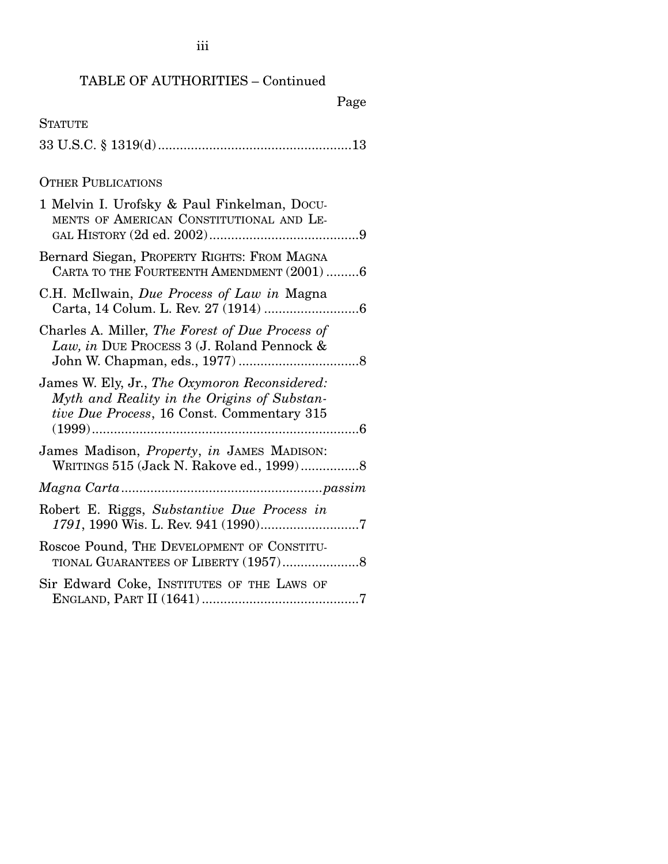## TABLE OF AUTHORITIES – Continued

## Page

| <b>STATUTE</b>                                                                                                                             |
|--------------------------------------------------------------------------------------------------------------------------------------------|
|                                                                                                                                            |
| <b>OTHER PUBLICATIONS</b>                                                                                                                  |
| 1 Melvin I. Urofsky & Paul Finkelman, Docu-<br>MENTS OF AMERICAN CONSTITUTIONAL AND LE-                                                    |
| Bernard Siegan, PROPERTY RIGHTS: FROM MAGNA<br>CARTA TO THE FOURTEENTH AMENDMENT (2001) 6                                                  |
| C.H. McIlwain, Due Process of Law in Magna                                                                                                 |
| Charles A. Miller, The Forest of Due Process of<br>Law, in DUE PROCESS 3 (J. Roland Pennock &                                              |
| James W. Ely, Jr., The Oxymoron Reconsidered:<br>Myth and Reality in the Origins of Substan-<br>tive Due Process, 16 Const. Commentary 315 |
| James Madison, Property, in JAMES MADISON:<br>WRITINGS 515 (Jack N. Rakove ed., 1999)8                                                     |
|                                                                                                                                            |
| Robert E. Riggs, Substantive Due Process in                                                                                                |
| Roscoe Pound, THE DEVELOPMENT OF CONSTITU-                                                                                                 |
| Sir Edward Coke, INSTITUTES OF THE LAWS OF                                                                                                 |
|                                                                                                                                            |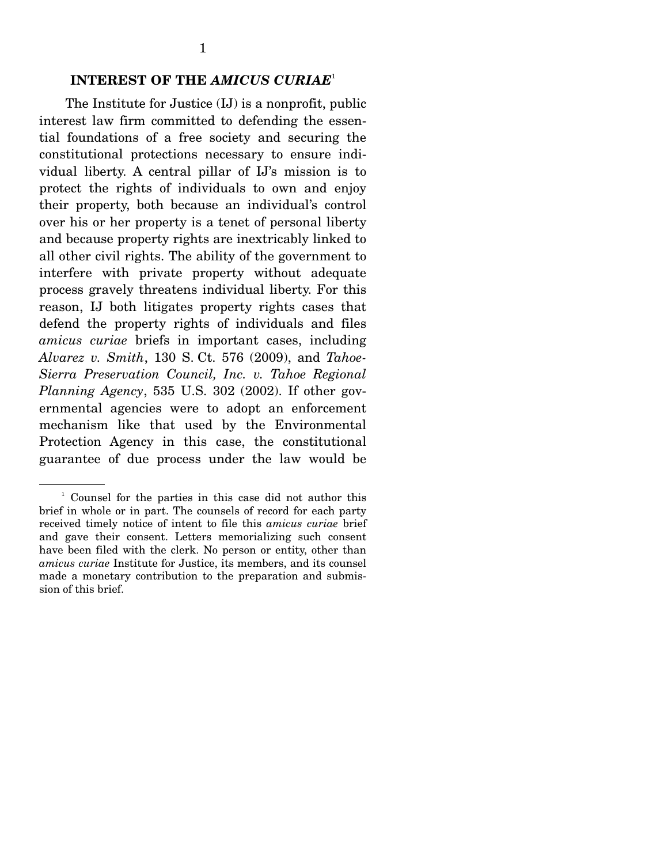#### **INTEREST OF THE** *AMICUS CURIAE*<sup>1</sup>

The Institute for Justice (IJ) is a nonprofit, public interest law firm committed to defending the essential foundations of a free society and securing the constitutional protections necessary to ensure individual liberty. A central pillar of IJ's mission is to protect the rights of individuals to own and enjoy their property, both because an individual's control over his or her property is a tenet of personal liberty and because property rights are inextricably linked to all other civil rights. The ability of the government to interfere with private property without adequate process gravely threatens individual liberty. For this reason, IJ both litigates property rights cases that defend the property rights of individuals and files *amicus curiae* briefs in important cases, including *Alvarez v. Smith*, 130 S. Ct. 576 (2009), and *Tahoe-Sierra Preservation Council, Inc. v. Tahoe Regional Planning Agency*, 535 U.S. 302 (2002). If other governmental agencies were to adopt an enforcement mechanism like that used by the Environmental Protection Agency in this case, the constitutional guarantee of due process under the law would be

<sup>1</sup> Counsel for the parties in this case did not author this brief in whole or in part. The counsels of record for each party received timely notice of intent to file this *amicus curiae* brief and gave their consent. Letters memorializing such consent have been filed with the clerk. No person or entity, other than *amicus curiae* Institute for Justice, its members, and its counsel made a monetary contribution to the preparation and submission of this brief.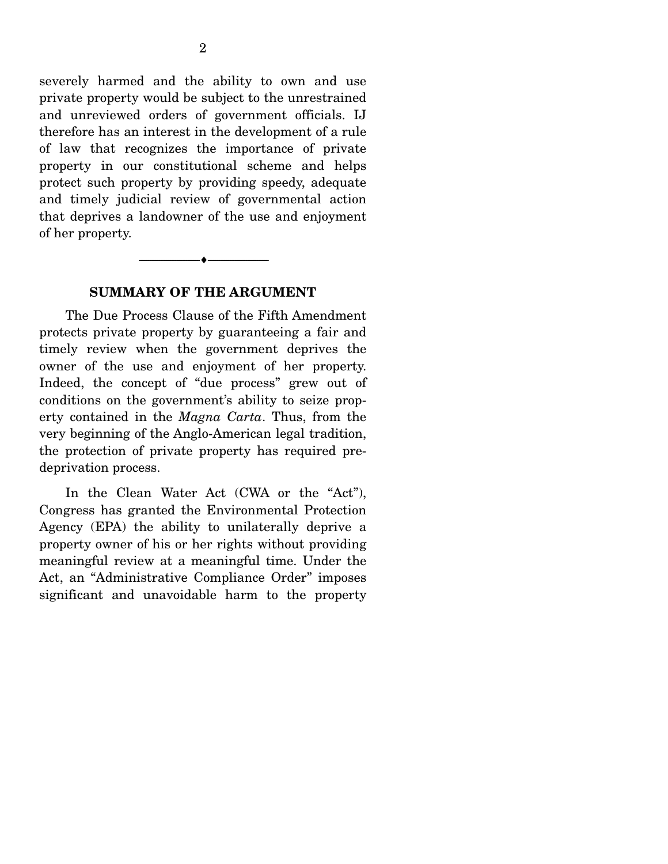severely harmed and the ability to own and use private property would be subject to the unrestrained and unreviewed orders of government officials. IJ therefore has an interest in the development of a rule of law that recognizes the importance of private property in our constitutional scheme and helps protect such property by providing speedy, adequate and timely judicial review of governmental action that deprives a landowner of the use and enjoyment of her property.

#### **SUMMARY OF THE ARGUMENT**

--------------------------------- ♦ ---------------------------------

 The Due Process Clause of the Fifth Amendment protects private property by guaranteeing a fair and timely review when the government deprives the owner of the use and enjoyment of her property. Indeed, the concept of "due process" grew out of conditions on the government's ability to seize property contained in the *Magna Carta*. Thus, from the very beginning of the Anglo-American legal tradition, the protection of private property has required predeprivation process.

In the Clean Water Act (CWA or the "Act"), Congress has granted the Environmental Protection Agency (EPA) the ability to unilaterally deprive a property owner of his or her rights without providing meaningful review at a meaningful time. Under the Act, an "Administrative Compliance Order" imposes significant and unavoidable harm to the property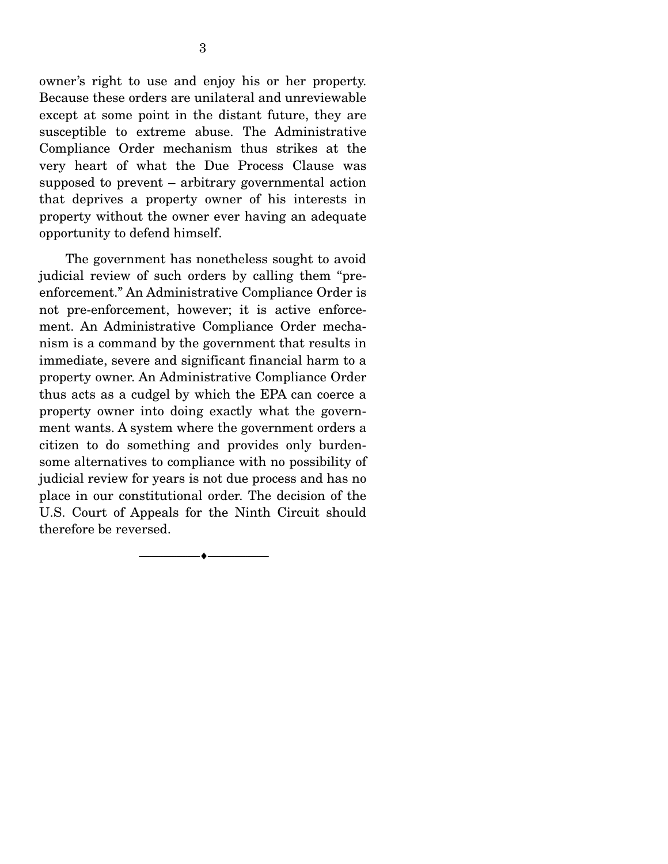owner's right to use and enjoy his or her property. Because these orders are unilateral and unreviewable except at some point in the distant future, they are susceptible to extreme abuse. The Administrative Compliance Order mechanism thus strikes at the very heart of what the Due Process Clause was supposed to prevent – arbitrary governmental action that deprives a property owner of his interests in property without the owner ever having an adequate opportunity to defend himself.

 The government has nonetheless sought to avoid judicial review of such orders by calling them "preenforcement." An Administrative Compliance Order is not pre-enforcement, however; it is active enforcement. An Administrative Compliance Order mechanism is a command by the government that results in immediate, severe and significant financial harm to a property owner. An Administrative Compliance Order thus acts as a cudgel by which the EPA can coerce a property owner into doing exactly what the government wants. A system where the government orders a citizen to do something and provides only burdensome alternatives to compliance with no possibility of judicial review for years is not due process and has no place in our constitutional order. The decision of the U.S. Court of Appeals for the Ninth Circuit should therefore be reversed.

--------------------------------- ♦ ---------------------------------

3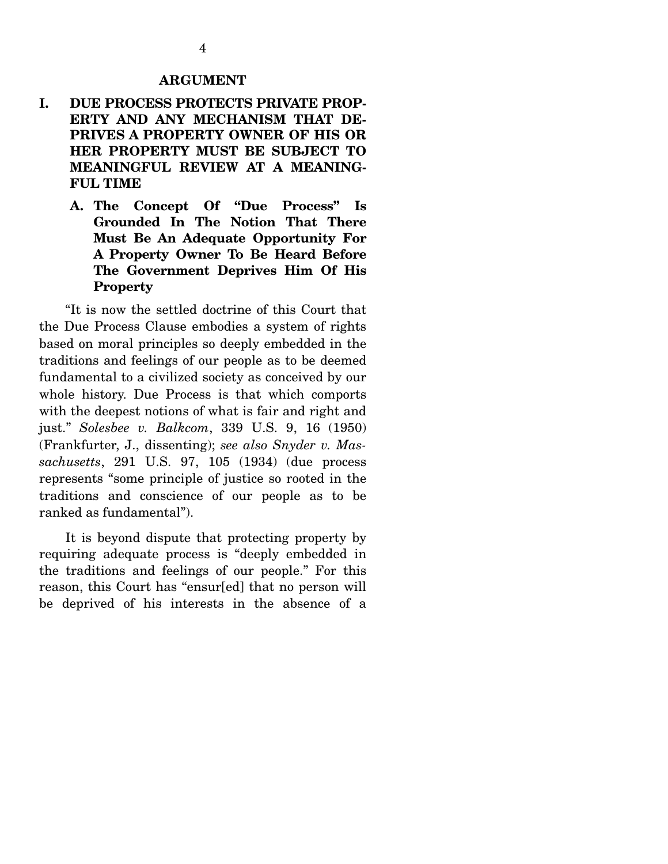#### **ARGUMENT**

- **I. DUE PROCESS PROTECTS PRIVATE PROP-ERTY AND ANY MECHANISM THAT DE-PRIVES A PROPERTY OWNER OF HIS OR HER PROPERTY MUST BE SUBJECT TO MEANINGFUL REVIEW AT A MEANING-FUL TIME** 
	- **A. The Concept Of "Due Process" Is Grounded In The Notion That There Must Be An Adequate Opportunity For A Property Owner To Be Heard Before The Government Deprives Him Of His Property**

 "It is now the settled doctrine of this Court that the Due Process Clause embodies a system of rights based on moral principles so deeply embedded in the traditions and feelings of our people as to be deemed fundamental to a civilized society as conceived by our whole history. Due Process is that which comports with the deepest notions of what is fair and right and just." *Solesbee v. Balkcom*, 339 U.S. 9, 16 (1950) (Frankfurter, J., dissenting); *see also Snyder v. Massachusetts*, 291 U.S. 97, 105 (1934) (due process represents "some principle of justice so rooted in the traditions and conscience of our people as to be ranked as fundamental").

 It is beyond dispute that protecting property by requiring adequate process is "deeply embedded in the traditions and feelings of our people." For this reason, this Court has "ensur[ed] that no person will be deprived of his interests in the absence of a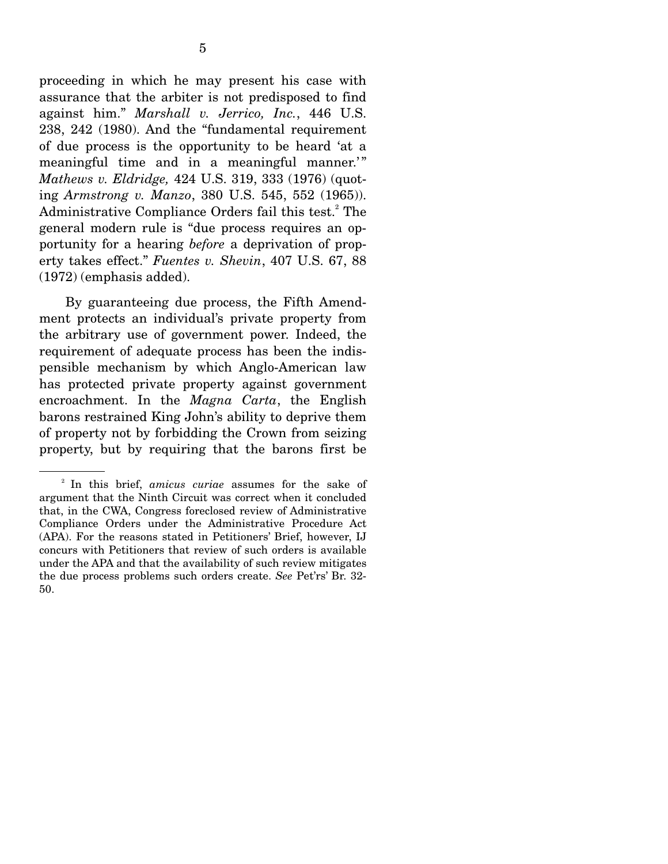proceeding in which he may present his case with assurance that the arbiter is not predisposed to find against him." *Marshall v. Jerrico, Inc.*, 446 U.S. 238, 242 (1980). And the "fundamental requirement of due process is the opportunity to be heard 'at a meaningful time and in a meaningful manner.'" *Mathews v. Eldridge,* 424 U.S. 319, 333 (1976) (quoting *Armstrong v. Manzo*, 380 U.S. 545, 552 (1965)). Administrative Compliance Orders fail this test.<sup>2</sup> The general modern rule is "due process requires an opportunity for a hearing *before* a deprivation of property takes effect." *Fuentes v. Shevin*, 407 U.S. 67, 88 (1972) (emphasis added).

 By guaranteeing due process, the Fifth Amendment protects an individual's private property from the arbitrary use of government power. Indeed, the requirement of adequate process has been the indispensible mechanism by which Anglo-American law has protected private property against government encroachment. In the *Magna Carta*, the English barons restrained King John's ability to deprive them of property not by forbidding the Crown from seizing property, but by requiring that the barons first be

<sup>2</sup> In this brief, *amicus curiae* assumes for the sake of argument that the Ninth Circuit was correct when it concluded that, in the CWA, Congress foreclosed review of Administrative Compliance Orders under the Administrative Procedure Act (APA). For the reasons stated in Petitioners' Brief, however, IJ concurs with Petitioners that review of such orders is available under the APA and that the availability of such review mitigates the due process problems such orders create. *See* Pet'rs' Br. 32- 50.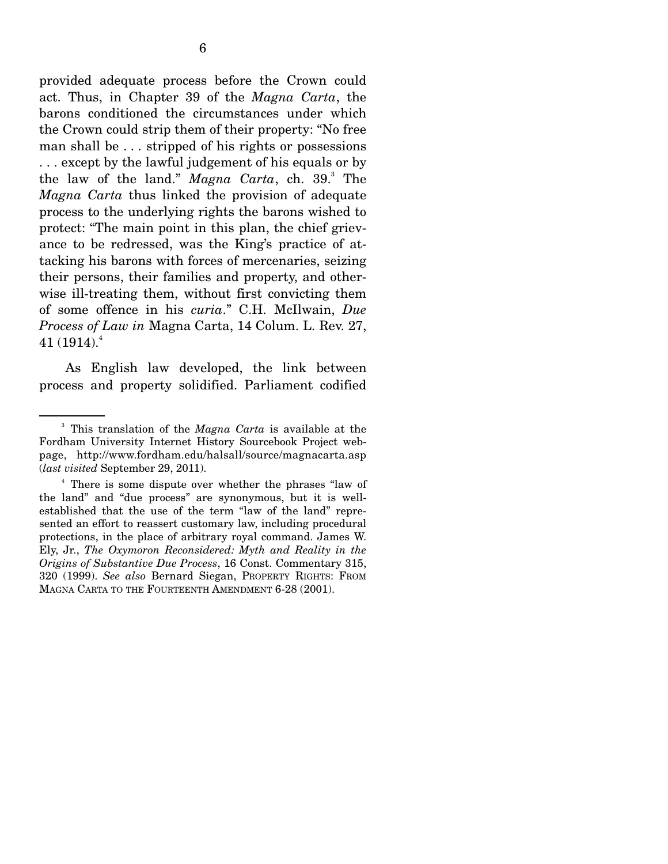provided adequate process before the Crown could act. Thus, in Chapter 39 of the *Magna Carta*, the barons conditioned the circumstances under which the Crown could strip them of their property: "No free man shall be . . . stripped of his rights or possessions . . . except by the lawful judgement of his equals or by the law of the land." *Magna Carta*, ch. 39.<sup>3</sup> The *Magna Carta* thus linked the provision of adequate process to the underlying rights the barons wished to protect: "The main point in this plan, the chief grievance to be redressed, was the King's practice of attacking his barons with forces of mercenaries, seizing their persons, their families and property, and otherwise ill-treating them, without first convicting them of some offence in his *curia*." C.H. McIlwain, *Due Process of Law in* Magna Carta, 14 Colum. L. Rev. 27,  $41 \, (1914).^4$ 

 As English law developed, the link between process and property solidified. Parliament codified

<sup>3</sup> This translation of the *Magna Carta* is available at the Fordham University Internet History Sourcebook Project webpage, http://www.fordham.edu/halsall/source/magnacarta.asp (*last visited* September 29, 2011).

<sup>4</sup> There is some dispute over whether the phrases "law of the land" and "due process" are synonymous, but it is wellestablished that the use of the term "law of the land" represented an effort to reassert customary law, including procedural protections, in the place of arbitrary royal command. James W. Ely, Jr., *The Oxymoron Reconsidered: Myth and Reality in the Origins of Substantive Due Process*, 16 Const. Commentary 315, 320 (1999). *See also* Bernard Siegan, PROPERTY RIGHTS: FROM MAGNA CARTA TO THE FOURTEENTH AMENDMENT 6-28 (2001).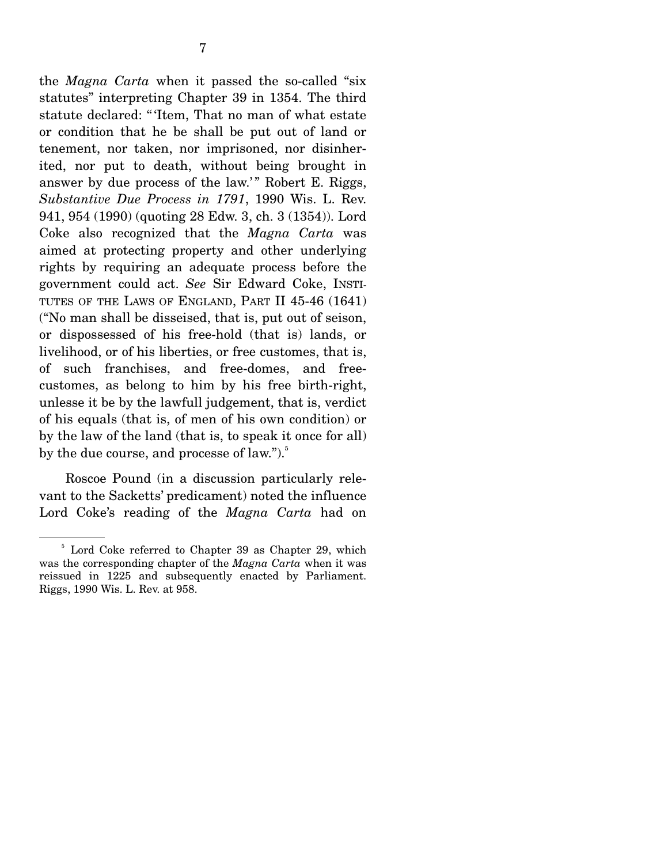the *Magna Carta* when it passed the so-called "six statutes" interpreting Chapter 39 in 1354. The third statute declared: " 'Item, That no man of what estate or condition that he be shall be put out of land or tenement, nor taken, nor imprisoned, nor disinherited, nor put to death, without being brought in answer by due process of the law.'" Robert E. Riggs, *Substantive Due Process in 1791*, 1990 Wis. L. Rev. 941, 954 (1990) (quoting 28 Edw. 3, ch. 3 (1354)). Lord Coke also recognized that the *Magna Carta* was aimed at protecting property and other underlying rights by requiring an adequate process before the government could act. *See* Sir Edward Coke, INSTI-TUTES OF THE LAWS OF ENGLAND, PART II 45-46 (1641) ("No man shall be disseised, that is, put out of seison, or dispossessed of his free-hold (that is) lands, or livelihood, or of his liberties, or free customes, that is, of such franchises, and free-domes, and freecustomes, as belong to him by his free birth-right, unlesse it be by the lawfull judgement, that is, verdict of his equals (that is, of men of his own condition) or by the law of the land (that is, to speak it once for all) by the due course, and processe of law.").<sup>5</sup>

 Roscoe Pound (in a discussion particularly relevant to the Sacketts' predicament) noted the influence Lord Coke's reading of the *Magna Carta* had on

<sup>&</sup>lt;sup>5</sup> Lord Coke referred to Chapter 39 as Chapter 29, which was the corresponding chapter of the *Magna Carta* when it was reissued in 1225 and subsequently enacted by Parliament. Riggs, 1990 Wis. L. Rev. at 958.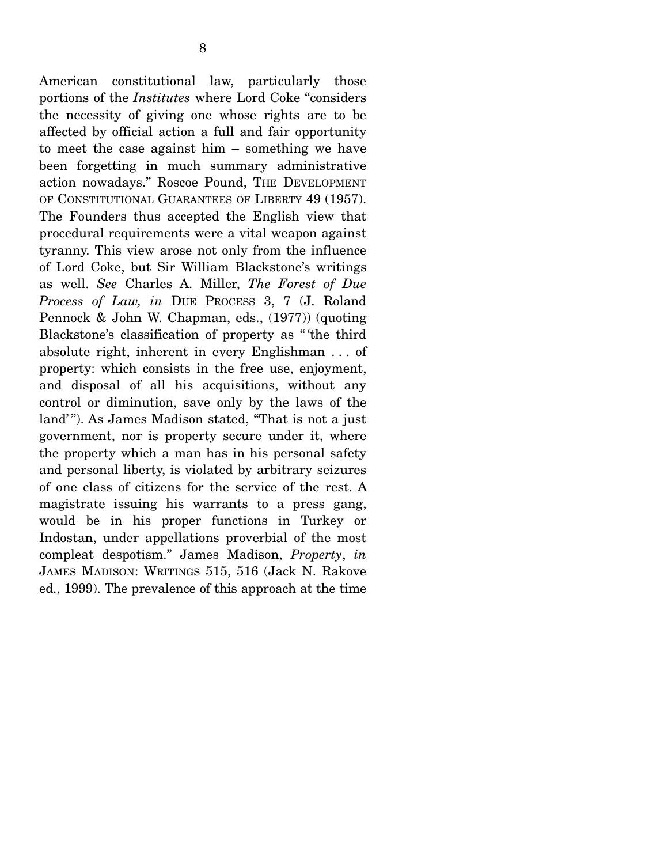American constitutional law, particularly those portions of the *Institutes* where Lord Coke "considers the necessity of giving one whose rights are to be affected by official action a full and fair opportunity to meet the case against him – something we have been forgetting in much summary administrative action nowadays." Roscoe Pound, THE DEVELOPMENT OF CONSTITUTIONAL GUARANTEES OF LIBERTY 49 (1957). The Founders thus accepted the English view that procedural requirements were a vital weapon against tyranny. This view arose not only from the influence of Lord Coke, but Sir William Blackstone's writings as well. *See* Charles A. Miller, *The Forest of Due Process of Law, in* DUE PROCESS 3, 7 (J. Roland Pennock & John W. Chapman, eds., (1977)) (quoting Blackstone's classification of property as " 'the third absolute right, inherent in every Englishman . . . of property: which consists in the free use, enjoyment, and disposal of all his acquisitions, without any control or diminution, save only by the laws of the land'"). As James Madison stated, "That is not a just government, nor is property secure under it, where the property which a man has in his personal safety and personal liberty, is violated by arbitrary seizures of one class of citizens for the service of the rest. A magistrate issuing his warrants to a press gang, would be in his proper functions in Turkey or Indostan, under appellations proverbial of the most compleat despotism." James Madison, *Property*, *in* JAMES MADISON: WRITINGS 515, 516 (Jack N. Rakove ed., 1999). The prevalence of this approach at the time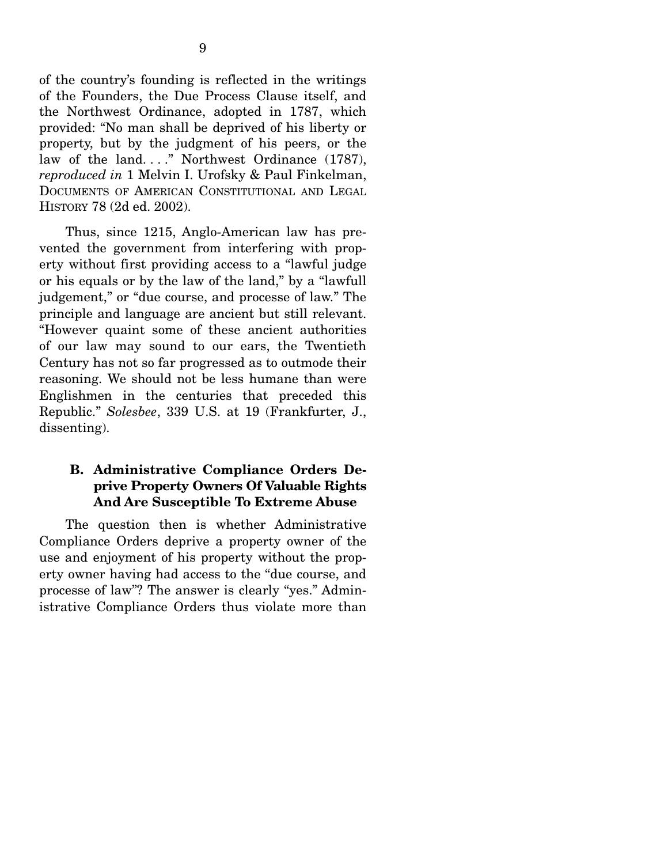of the country's founding is reflected in the writings of the Founders, the Due Process Clause itself, and the Northwest Ordinance, adopted in 1787, which provided: "No man shall be deprived of his liberty or property, but by the judgment of his peers, or the law of the land...." Northwest Ordinance (1787), *reproduced in* 1 Melvin I. Urofsky & Paul Finkelman, DOCUMENTS OF AMERICAN CONSTITUTIONAL AND LEGAL HISTORY 78 (2d ed. 2002).

 Thus, since 1215, Anglo-American law has prevented the government from interfering with property without first providing access to a "lawful judge or his equals or by the law of the land," by a "lawfull judgement," or "due course, and processe of law." The principle and language are ancient but still relevant. "However quaint some of these ancient authorities of our law may sound to our ears, the Twentieth Century has not so far progressed as to outmode their reasoning. We should not be less humane than were Englishmen in the centuries that preceded this Republic." *Solesbee*, 339 U.S. at 19 (Frankfurter, J., dissenting).

### **B. Administrative Compliance Orders Deprive Property Owners Of Valuable Rights And Are Susceptible To Extreme Abuse**

 The question then is whether Administrative Compliance Orders deprive a property owner of the use and enjoyment of his property without the property owner having had access to the "due course, and processe of law"? The answer is clearly "yes." Administrative Compliance Orders thus violate more than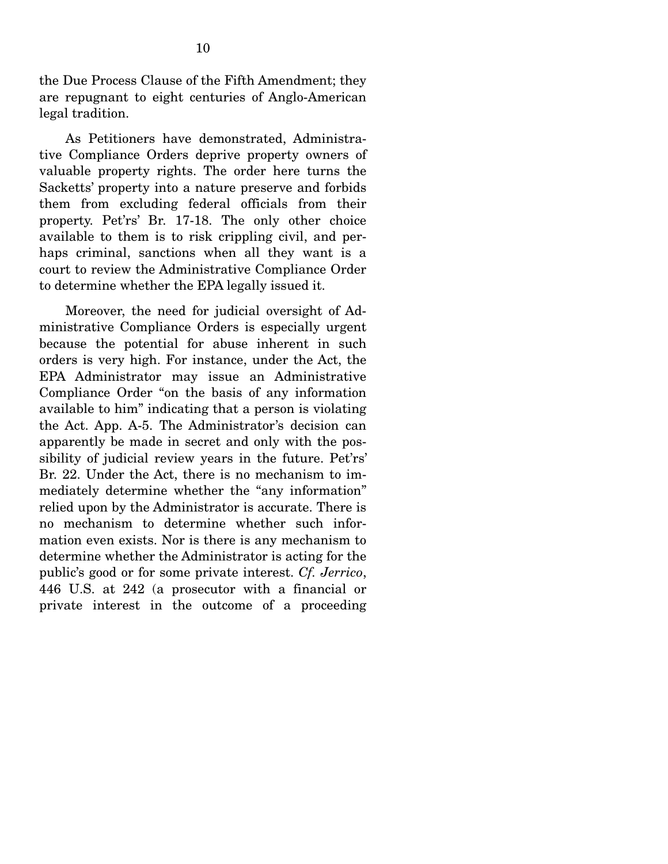the Due Process Clause of the Fifth Amendment; they are repugnant to eight centuries of Anglo-American legal tradition.

 As Petitioners have demonstrated, Administrative Compliance Orders deprive property owners of valuable property rights. The order here turns the Sacketts' property into a nature preserve and forbids them from excluding federal officials from their property. Pet'rs' Br. 17-18. The only other choice available to them is to risk crippling civil, and perhaps criminal, sanctions when all they want is a court to review the Administrative Compliance Order to determine whether the EPA legally issued it.

 Moreover, the need for judicial oversight of Administrative Compliance Orders is especially urgent because the potential for abuse inherent in such orders is very high. For instance, under the Act, the EPA Administrator may issue an Administrative Compliance Order "on the basis of any information available to him" indicating that a person is violating the Act. App. A-5. The Administrator's decision can apparently be made in secret and only with the possibility of judicial review years in the future. Pet'rs' Br. 22. Under the Act, there is no mechanism to immediately determine whether the "any information" relied upon by the Administrator is accurate. There is no mechanism to determine whether such information even exists. Nor is there is any mechanism to determine whether the Administrator is acting for the public's good or for some private interest. *Cf. Jerrico*, 446 U.S. at 242 (a prosecutor with a financial or private interest in the outcome of a proceeding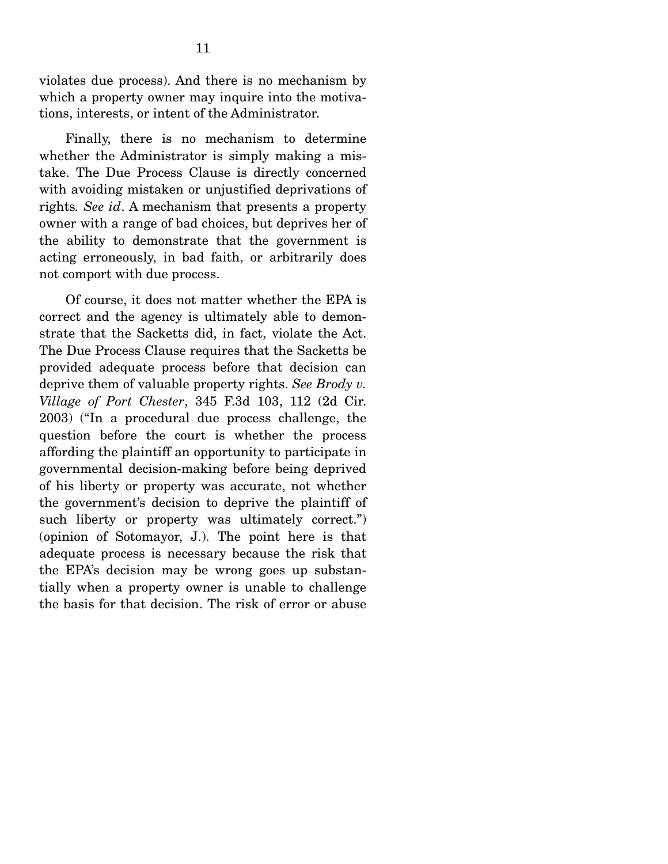violates due process). And there is no mechanism by which a property owner may inquire into the motivations, interests, or intent of the Administrator.

 Finally, there is no mechanism to determine whether the Administrator is simply making a mistake. The Due Process Clause is directly concerned with avoiding mistaken or unjustified deprivations of rights*. See id*. A mechanism that presents a property owner with a range of bad choices, but deprives her of the ability to demonstrate that the government is acting erroneously, in bad faith, or arbitrarily does not comport with due process.

 Of course, it does not matter whether the EPA is correct and the agency is ultimately able to demonstrate that the Sacketts did, in fact, violate the Act. The Due Process Clause requires that the Sacketts be provided adequate process before that decision can deprive them of valuable property rights. *See Brody v. Village of Port Chester*, 345 F.3d 103, 112 (2d Cir. 2003) ("In a procedural due process challenge, the question before the court is whether the process affording the plaintiff an opportunity to participate in governmental decision-making before being deprived of his liberty or property was accurate, not whether the government's decision to deprive the plaintiff of such liberty or property was ultimately correct.") (opinion of Sotomayor, J.). The point here is that adequate process is necessary because the risk that the EPA's decision may be wrong goes up substantially when a property owner is unable to challenge the basis for that decision. The risk of error or abuse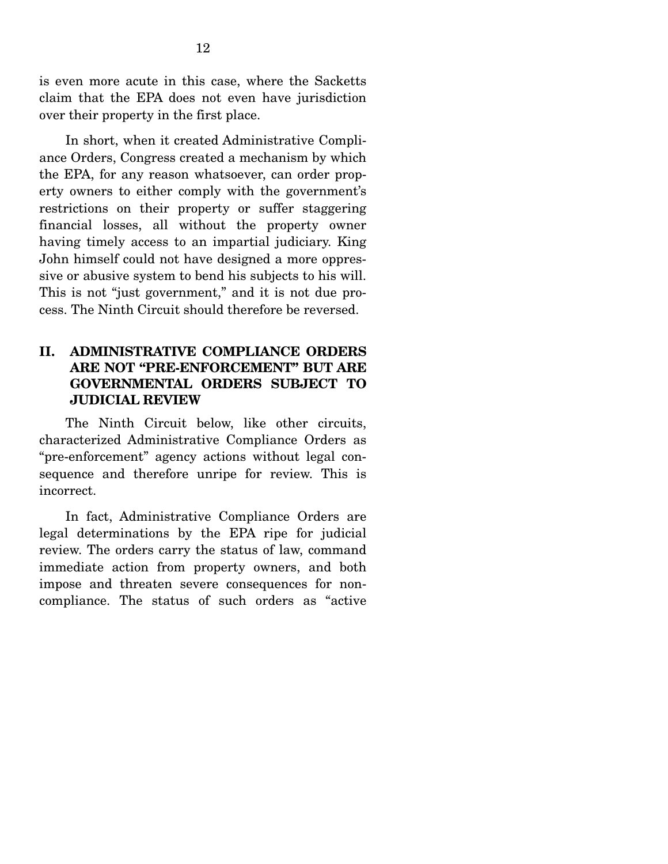is even more acute in this case, where the Sacketts claim that the EPA does not even have jurisdiction over their property in the first place.

 In short, when it created Administrative Compliance Orders, Congress created a mechanism by which the EPA, for any reason whatsoever, can order property owners to either comply with the government's restrictions on their property or suffer staggering financial losses, all without the property owner having timely access to an impartial judiciary. King John himself could not have designed a more oppressive or abusive system to bend his subjects to his will. This is not "just government," and it is not due process. The Ninth Circuit should therefore be reversed.

### **II. ADMINISTRATIVE COMPLIANCE ORDERS ARE NOT "PRE-ENFORCEMENT" BUT ARE GOVERNMENTAL ORDERS SUBJECT TO JUDICIAL REVIEW**

 The Ninth Circuit below, like other circuits, characterized Administrative Compliance Orders as "pre-enforcement" agency actions without legal consequence and therefore unripe for review. This is incorrect.

 In fact, Administrative Compliance Orders are legal determinations by the EPA ripe for judicial review. The orders carry the status of law, command immediate action from property owners, and both impose and threaten severe consequences for noncompliance. The status of such orders as "active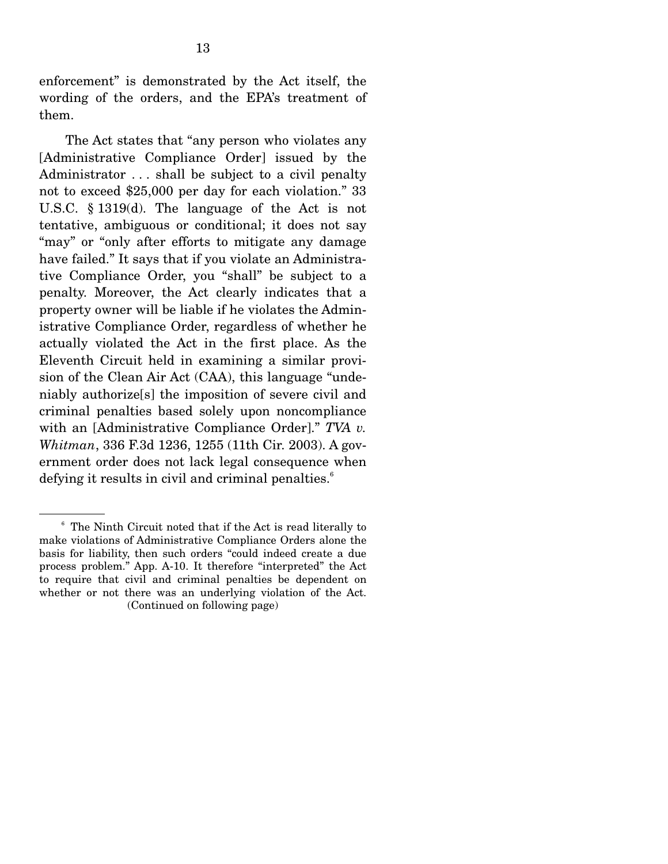enforcement" is demonstrated by the Act itself, the wording of the orders, and the EPA's treatment of them.

 The Act states that "any person who violates any [Administrative Compliance Order] issued by the Administrator ... shall be subject to a civil penalty not to exceed \$25,000 per day for each violation." 33 U.S.C. § 1319(d). The language of the Act is not tentative, ambiguous or conditional; it does not say "may" or "only after efforts to mitigate any damage have failed." It says that if you violate an Administrative Compliance Order, you "shall" be subject to a penalty. Moreover, the Act clearly indicates that a property owner will be liable if he violates the Administrative Compliance Order, regardless of whether he actually violated the Act in the first place. As the Eleventh Circuit held in examining a similar provision of the Clean Air Act (CAA), this language "undeniably authorize[s] the imposition of severe civil and criminal penalties based solely upon noncompliance with an [Administrative Compliance Order]." *TVA v. Whitman*, 336 F.3d 1236, 1255 (11th Cir. 2003). A government order does not lack legal consequence when defying it results in civil and criminal penalties.<sup>6</sup>

<sup>6</sup> The Ninth Circuit noted that if the Act is read literally to make violations of Administrative Compliance Orders alone the basis for liability, then such orders "could indeed create a due process problem." App. A-10. It therefore "interpreted" the Act to require that civil and criminal penalties be dependent on whether or not there was an underlying violation of the Act. (Continued on following page)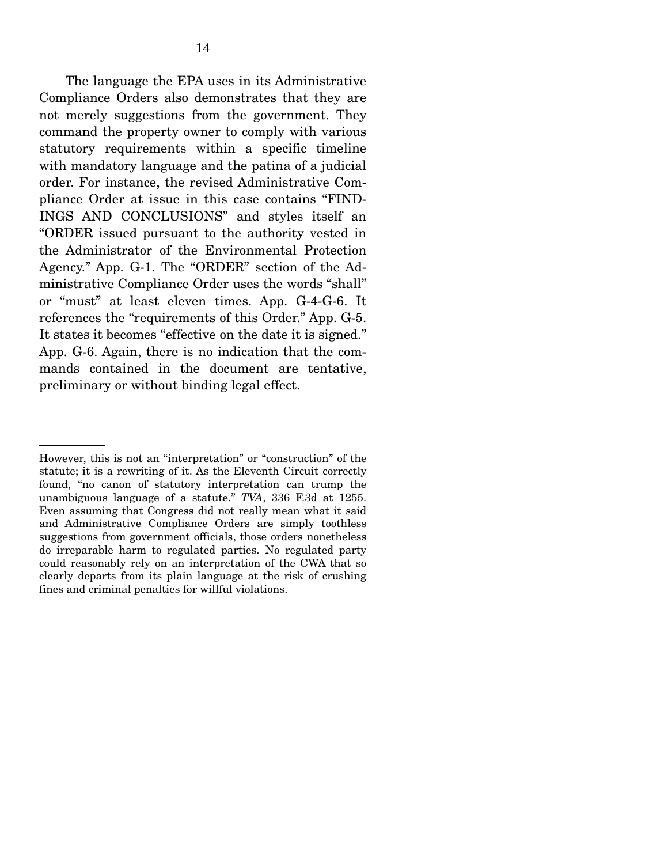The language the EPA uses in its Administrative Compliance Orders also demonstrates that they are not merely suggestions from the government. They command the property owner to comply with various statutory requirements within a specific timeline with mandatory language and the patina of a judicial order. For instance, the revised Administrative Compliance Order at issue in this case contains "FIND-INGS AND CONCLUSIONS" and styles itself an "ORDER issued pursuant to the authority vested in the Administrator of the Environmental Protection Agency." App. G-1. The "ORDER" section of the Administrative Compliance Order uses the words "shall" or "must" at least eleven times. App. G-4-G-6. It references the "requirements of this Order." App. G-5. It states it becomes "effective on the date it is signed." App. G-6. Again, there is no indication that the commands contained in the document are tentative, preliminary or without binding legal effect.

However, this is not an "interpretation" or "construction" of the statute; it is a rewriting of it. As the Eleventh Circuit correctly found, "no canon of statutory interpretation can trump the unambiguous language of a statute." *TVA*, 336 F.3d at 1255. Even assuming that Congress did not really mean what it said and Administrative Compliance Orders are simply toothless suggestions from government officials, those orders nonetheless do irreparable harm to regulated parties. No regulated party could reasonably rely on an interpretation of the CWA that so clearly departs from its plain language at the risk of crushing fines and criminal penalties for willful violations.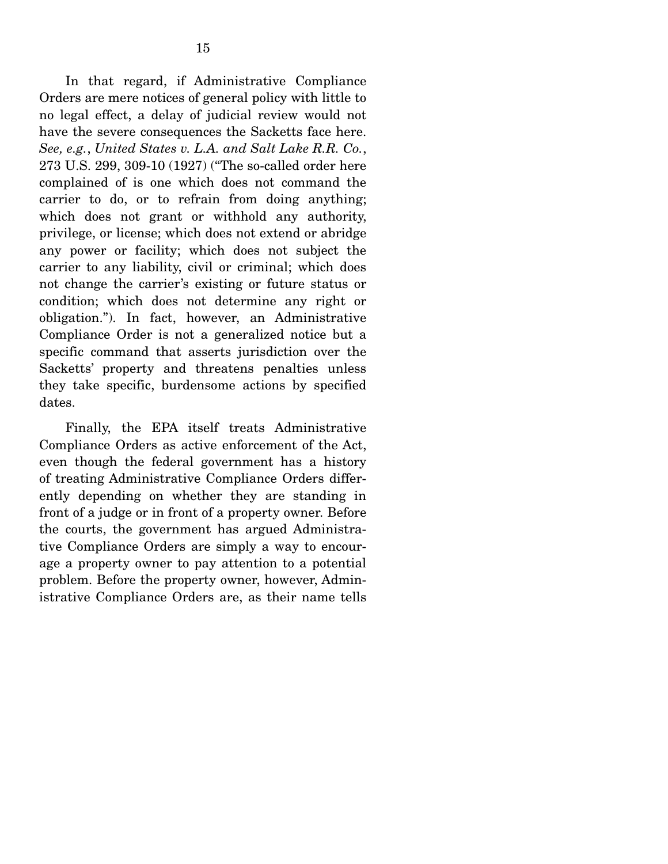In that regard, if Administrative Compliance Orders are mere notices of general policy with little to no legal effect, a delay of judicial review would not have the severe consequences the Sacketts face here. *See, e.g.*, *United States v. L.A. and Salt Lake R.R. Co.*, 273 U.S. 299, 309-10 (1927) ("The so-called order here complained of is one which does not command the carrier to do, or to refrain from doing anything; which does not grant or withhold any authority, privilege, or license; which does not extend or abridge any power or facility; which does not subject the carrier to any liability, civil or criminal; which does not change the carrier's existing or future status or condition; which does not determine any right or obligation."). In fact, however, an Administrative Compliance Order is not a generalized notice but a specific command that asserts jurisdiction over the Sacketts' property and threatens penalties unless they take specific, burdensome actions by specified dates.

 Finally, the EPA itself treats Administrative Compliance Orders as active enforcement of the Act, even though the federal government has a history of treating Administrative Compliance Orders differently depending on whether they are standing in front of a judge or in front of a property owner. Before the courts, the government has argued Administrative Compliance Orders are simply a way to encourage a property owner to pay attention to a potential problem. Before the property owner, however, Administrative Compliance Orders are, as their name tells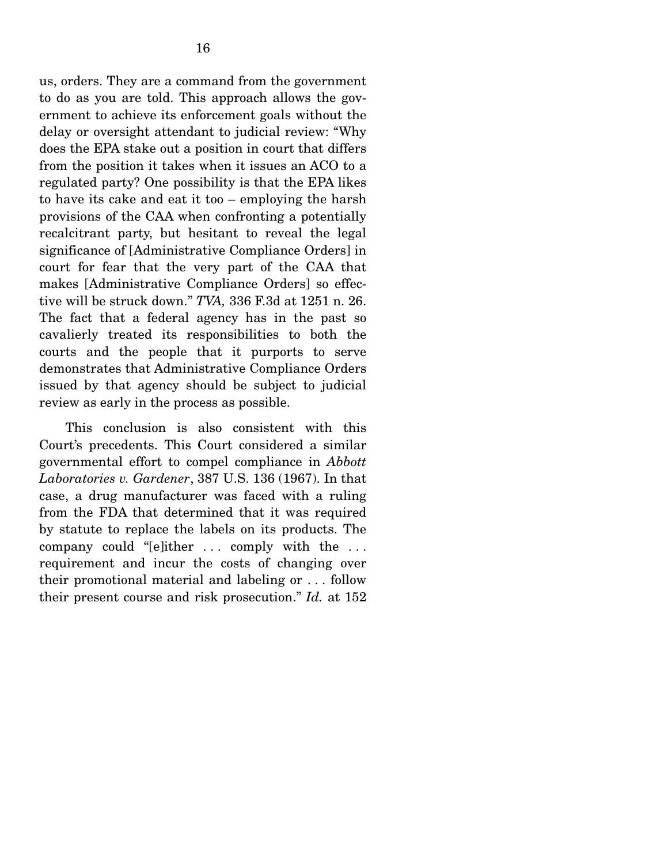us, orders. They are a command from the government to do as you are told. This approach allows the government to achieve its enforcement goals without the delay or oversight attendant to judicial review: "Why does the EPA stake out a position in court that differs from the position it takes when it issues an ACO to a regulated party? One possibility is that the EPA likes to have its cake and eat it too – employing the harsh provisions of the CAA when confronting a potentially recalcitrant party, but hesitant to reveal the legal significance of [Administrative Compliance Orders] in court for fear that the very part of the CAA that makes [Administrative Compliance Orders] so effective will be struck down." *TVA,* 336 F.3d at 1251 n. 26. The fact that a federal agency has in the past so cavalierly treated its responsibilities to both the courts and the people that it purports to serve demonstrates that Administrative Compliance Orders issued by that agency should be subject to judicial review as early in the process as possible.

 This conclusion is also consistent with this Court's precedents. This Court considered a similar governmental effort to compel compliance in *Abbott Laboratories v. Gardener*, 387 U.S. 136 (1967). In that case, a drug manufacturer was faced with a ruling from the FDA that determined that it was required by statute to replace the labels on its products. The company could "[e]ither ... comply with the ... requirement and incur the costs of changing over their promotional material and labeling or . . . follow their present course and risk prosecution." *Id.* at 152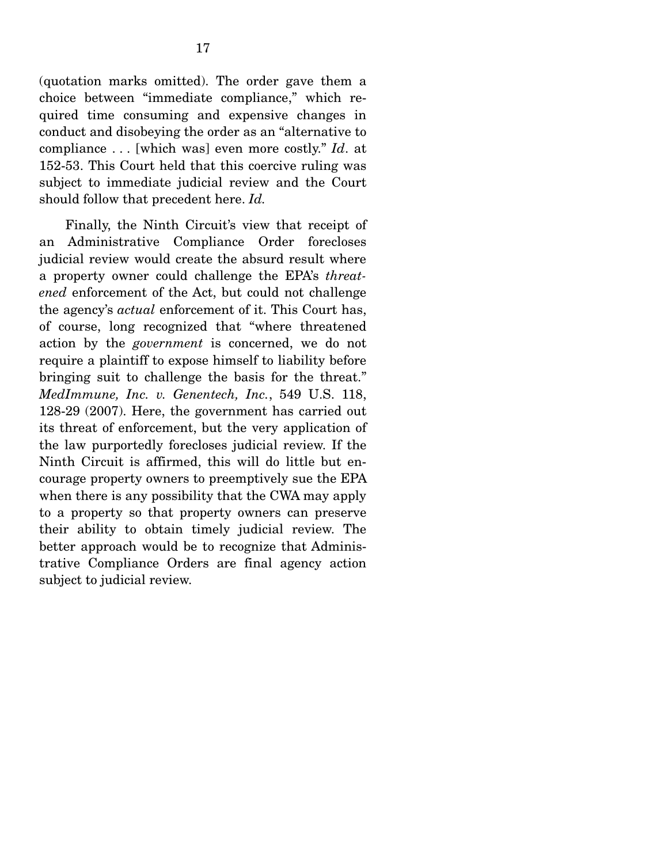(quotation marks omitted). The order gave them a choice between "immediate compliance," which required time consuming and expensive changes in conduct and disobeying the order as an "alternative to compliance . . . [which was] even more costly." *Id*. at 152-53. This Court held that this coercive ruling was subject to immediate judicial review and the Court should follow that precedent here. *Id.* 

 Finally, the Ninth Circuit's view that receipt of an Administrative Compliance Order forecloses judicial review would create the absurd result where a property owner could challenge the EPA's *threatened* enforcement of the Act, but could not challenge the agency's *actual* enforcement of it. This Court has, of course, long recognized that "where threatened action by the *government* is concerned, we do not require a plaintiff to expose himself to liability before bringing suit to challenge the basis for the threat." *MedImmune, Inc. v. Genentech, Inc.*, 549 U.S. 118, 128-29 (2007). Here, the government has carried out its threat of enforcement, but the very application of the law purportedly forecloses judicial review. If the Ninth Circuit is affirmed, this will do little but encourage property owners to preemptively sue the EPA when there is any possibility that the CWA may apply to a property so that property owners can preserve their ability to obtain timely judicial review. The better approach would be to recognize that Administrative Compliance Orders are final agency action subject to judicial review.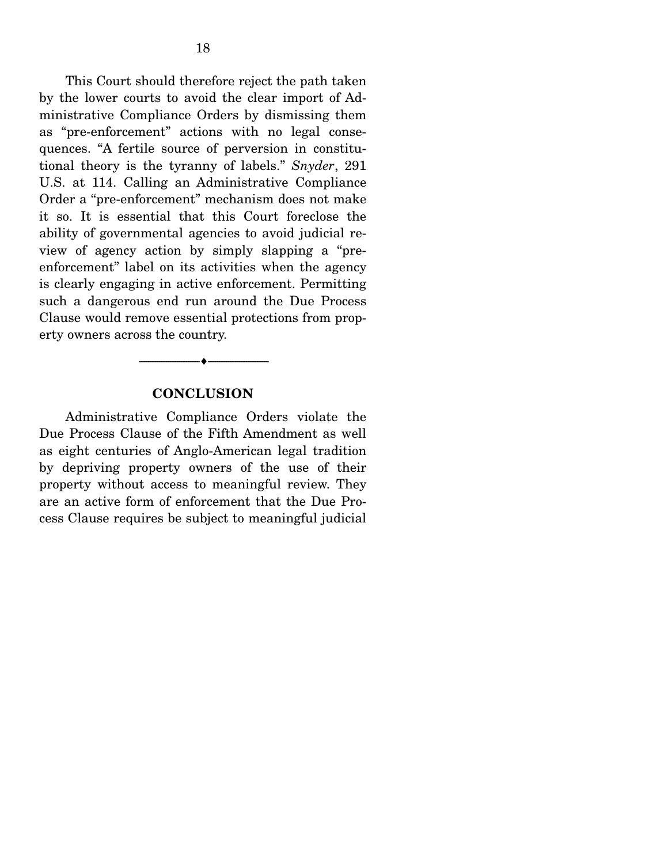This Court should therefore reject the path taken by the lower courts to avoid the clear import of Administrative Compliance Orders by dismissing them as "pre-enforcement" actions with no legal consequences. "A fertile source of perversion in constitutional theory is the tyranny of labels." *Snyder*, 291 U.S. at 114. Calling an Administrative Compliance Order a "pre-enforcement" mechanism does not make it so. It is essential that this Court foreclose the ability of governmental agencies to avoid judicial review of agency action by simply slapping a "preenforcement" label on its activities when the agency is clearly engaging in active enforcement. Permitting such a dangerous end run around the Due Process Clause would remove essential protections from property owners across the country.

#### **CONCLUSION**

--------------------------------- ♦ ---------------------------------

 Administrative Compliance Orders violate the Due Process Clause of the Fifth Amendment as well as eight centuries of Anglo-American legal tradition by depriving property owners of the use of their property without access to meaningful review. They are an active form of enforcement that the Due Process Clause requires be subject to meaningful judicial